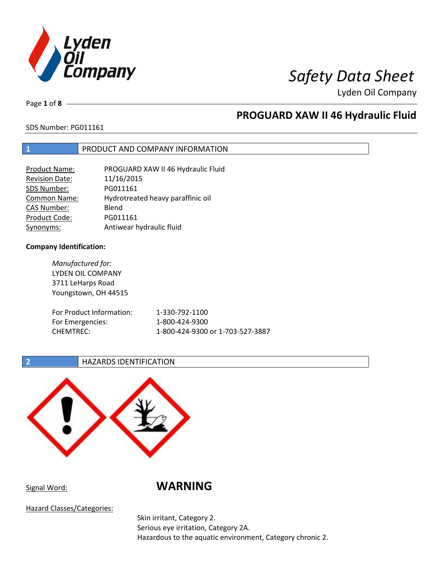

Page **1** of **8**

# **PROGUARD XAW II 46 Hydraulic Fluid**

### SDS Number: PG011161

### **1** PRODUCT AND COMPANY INFORMATION

| <b>Product Name:</b>  | PROGUARD XAW II 46 Hydraulic Fluid |
|-----------------------|------------------------------------|
| <b>Revision Date:</b> | 11/16/2015                         |
| SDS Number:           | PG011161                           |
| <b>Common Name:</b>   | Hydrotreated heavy paraffinic oil  |
| <b>CAS Number:</b>    | Blend                              |
| Product Code:         | PG011161                           |
| Synonyms:             | Antiwear hydraulic fluid           |

### **Company Identification:**

*Manufactured for:* LYDEN OIL COMPANY 3711 LeHarps Road Youngstown, OH 44515 For Product Information: 1-330-792-1100 For Emergencies: 1-800-424-9300 CHEMTREC: 1-800-424-9300 or 1-703-527-3887

### **2 HAZARDS IDENTIFICATION**



Signal Word: **WARNING**

Hazard Classes/Categories:

Skin irritant, Category 2. Serious eye irritation, Category 2A. Hazardous to the aquatic environment, Category chronic 2.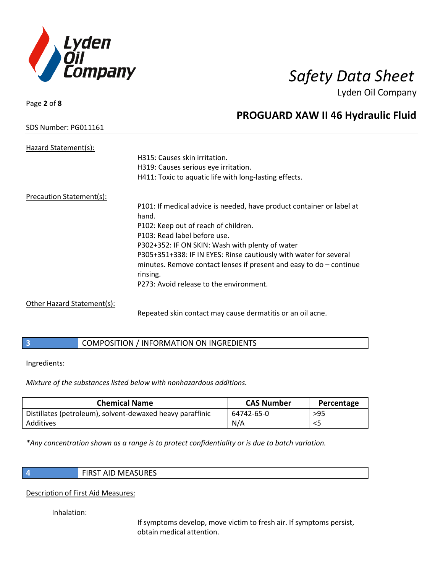

Page **2** of **8**

# **PROGUARD XAW II 46 Hydraulic Fluid**

### SDS Number: PG011161

| Hazard Statement(s):     |                                                                       |
|--------------------------|-----------------------------------------------------------------------|
|                          | H315: Causes skin irritation.                                         |
|                          | H319: Causes serious eye irritation.                                  |
|                          | H411: Toxic to aquatic life with long-lasting effects.                |
| Precaution Statement(s): |                                                                       |
|                          | P101: If medical advice is needed, have product container or label at |
|                          | hand.                                                                 |
|                          | P102: Keep out of reach of children.                                  |
|                          | P103: Read label before use.                                          |
|                          | P302+352: IF ON SKIN: Wash with plenty of water                       |
|                          | P305+351+338: IF IN EYES: Rinse cautiously with water for several     |
|                          | minutes. Remove contact lenses if present and easy to $do$ – continue |
|                          | rinsing.                                                              |
|                          | P273: Avoid release to the environment.                               |
|                          |                                                                       |

Other Hazard Statement(s):

Repeated skin contact may cause dermatitis or an oil acne.

|  | COMPOSITION / INFORMATION ON INGREDIENTS |
|--|------------------------------------------|
|--|------------------------------------------|

Ingredients:

*Mixture of the substances listed below with nonhazardous additions.*

| <b>Chemical Name</b>                                      | <b>CAS Number</b> | Percentage |
|-----------------------------------------------------------|-------------------|------------|
| Distillates (petroleum), solvent-dewaxed heavy paraffinic | 64742-65-0        | $>95$      |
| Additives                                                 | N/A               |            |

*\*Any concentration shown as a range is to protect confidentiality or is due to batch variation.*

**4** FIRST AID MEASURES

Description of First Aid Measures:

Inhalation:

If symptoms develop, move victim to fresh air. If symptoms persist, obtain medical attention.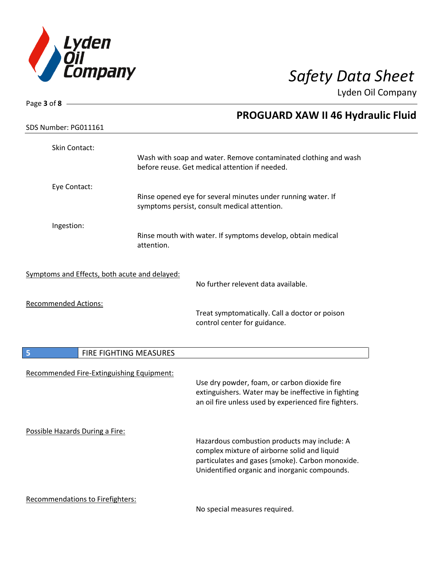

| Page 3 of 8 $-$                               |                        |                                                                                                              |
|-----------------------------------------------|------------------------|--------------------------------------------------------------------------------------------------------------|
| SDS Number: PG011161                          |                        | <b>PROGUARD XAW II 46 Hydraulic Fluid</b>                                                                    |
|                                               |                        |                                                                                                              |
| Skin Contact:                                 |                        | Wash with soap and water. Remove contaminated clothing and wash                                              |
|                                               |                        | before reuse. Get medical attention if needed.                                                               |
| Eye Contact:                                  |                        |                                                                                                              |
|                                               |                        | Rinse opened eye for several minutes under running water. If<br>symptoms persist, consult medical attention. |
| Ingestion:                                    |                        |                                                                                                              |
|                                               | attention.             | Rinse mouth with water. If symptoms develop, obtain medical                                                  |
| Symptoms and Effects, both acute and delayed: |                        | No further relevent data available.                                                                          |
|                                               |                        |                                                                                                              |
| <b>Recommended Actions:</b>                   |                        | Treat symptomatically. Call a doctor or poison                                                               |
|                                               |                        | control center for guidance.                                                                                 |
| 5                                             | FIRE FIGHTING MEASURES |                                                                                                              |
|                                               |                        |                                                                                                              |
| Recommended Fire-Extinguishing Equipment:     |                        | Use dry powder, foam, or carbon dioxide fire                                                                 |
|                                               |                        | extinguishers. Water may be ineffective in fighting<br>an oil fire unless used by experienced fire fighters. |
| Possible Hazards During a Fire:               |                        |                                                                                                              |
|                                               |                        | Hazardous combustion products may include: A<br>complex mixture of airborne solid and liquid                 |
|                                               |                        | particulates and gases (smoke). Carbon monoxide.<br>Unidentified organic and inorganic compounds.            |
| Recommendations to Firefighters:              |                        |                                                                                                              |

No special measures required.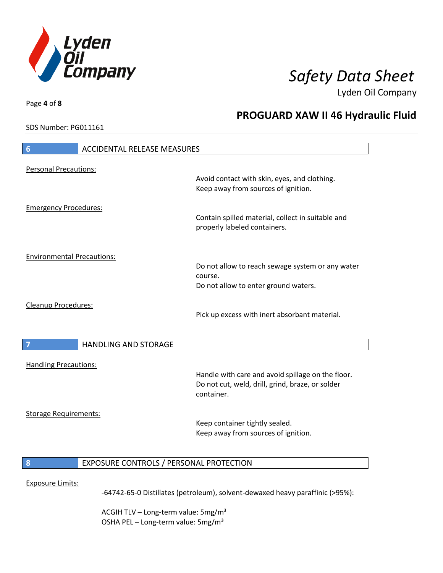

**PROGUARD XAW II 46 Hydraulic Fluid**

Lyden Oil Company

SDS Number: PG011161

Page **4** of **8**

# **6** ACCIDENTAL RELEASE MEASURES Personal Precautions: Avoid contact with skin, eyes, and clothing. Keep away from sources of ignition. Emergency Procedures: Contain spilled material, collect in suitable and properly labeled containers. Environmental Precautions: Do not allow to reach sewage system or any water course. Do not allow to enter ground waters. Cleanup Procedures: Pick up excess with inert absorbant material. **7 HANDLING AND STORAGE** Handling Precautions: Handle with care and avoid spillage on the floor. Do not cut, weld, drill, grind, braze, or solder container. Storage Requirements: Keep container tightly sealed. Keep away from sources of ignition. **8** EXPOSURE CONTROLS / PERSONAL PROTECTION Exposure Limits: -64742-65-0 Distillates (petroleum), solvent-dewaxed heavy paraffinic (>95%):

ACGIH TLV – Long-term value:  $5\,\text{mg/m}^3$ OSHA PEL - Long-term value: 5mg/m<sup>3</sup>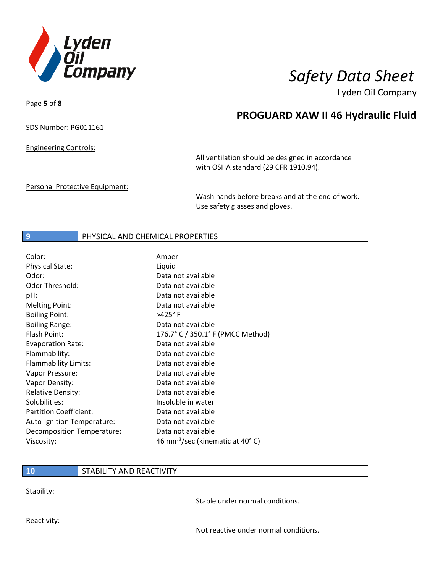

**PROGUARD XAW II 46 Hydraulic Fluid**

Lyden Oil Company

SDS Number: PG011161

Page **5** of **8**

Engineering Controls:

All ventilation should be designed in accordance with OSHA standard (29 CFR 1910.94).

Personal Protective Equipment:

Wash hands before breaks and at the end of work. Use safety glasses and gloves.

### **9** PHYSICAL AND CHEMICAL PROPERTIES

| Color:                        | Amber                                       |
|-------------------------------|---------------------------------------------|
| <b>Physical State:</b>        | Liquid                                      |
| Odor:                         | Data not available                          |
| Odor Threshold:               | Data not available                          |
| pH:                           | Data not available                          |
| <b>Melting Point:</b>         | Data not available                          |
| <b>Boiling Point:</b>         | $>425^\circ$ F                              |
| <b>Boiling Range:</b>         | Data not available                          |
| Flash Point:                  | 176.7° C / 350.1° F (PMCC Method)           |
| <b>Evaporation Rate:</b>      | Data not available                          |
| Flammability:                 | Data not available                          |
| Flammability Limits:          | Data not available                          |
| Vapor Pressure:               | Data not available                          |
| Vapor Density:                | Data not available                          |
| <b>Relative Density:</b>      | Data not available                          |
| Solubilities:                 | Insoluble in water                          |
| <b>Partition Coefficient:</b> | Data not available                          |
| Auto-Ignition Temperature:    | Data not available                          |
| Decomposition Temperature:    | Data not available                          |
| Viscosity:                    | 46 mm <sup>2</sup> /sec (kinematic at 40°C) |

### **10** STABILITY AND REACTIVITY

Stability:

Stable under normal conditions.

Reactivity:

Not reactive under normal conditions.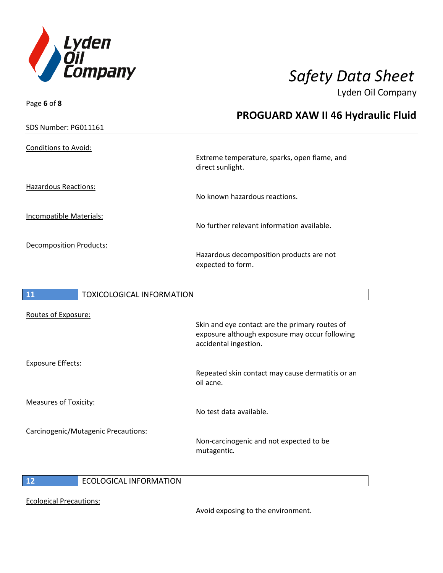

| Page 6 of 8 $-$                        |                                                                                                                           |
|----------------------------------------|---------------------------------------------------------------------------------------------------------------------------|
|                                        | <b>PROGUARD XAW II 46 Hydraulic Fluid</b>                                                                                 |
| SDS Number: PG011161                   |                                                                                                                           |
| <b>Conditions to Avoid:</b>            | Extreme temperature, sparks, open flame, and<br>direct sunlight.                                                          |
| <b>Hazardous Reactions:</b>            | No known hazardous reactions.                                                                                             |
| Incompatible Materials:                | No further relevant information available.                                                                                |
| <b>Decomposition Products:</b>         | Hazardous decomposition products are not<br>expected to form.                                                             |
| 11<br><b>TOXICOLOGICAL INFORMATION</b> |                                                                                                                           |
| Routes of Exposure:                    | Skin and eye contact are the primary routes of<br>exposure although exposure may occur following<br>accidental ingestion. |
| <b>Exposure Effects:</b>               | Repeated skin contact may cause dermatitis or an<br>oil acne.                                                             |
| <b>Measures of Toxicity:</b>           |                                                                                                                           |

Carcinogenic/Mutagenic Precautions:

Non-carcinogenic and not expected to be mutagentic.

No test data available.

**12** ECOLOGICAL INFORMATION

Ecological Precautions:

Avoid exposing to the environment.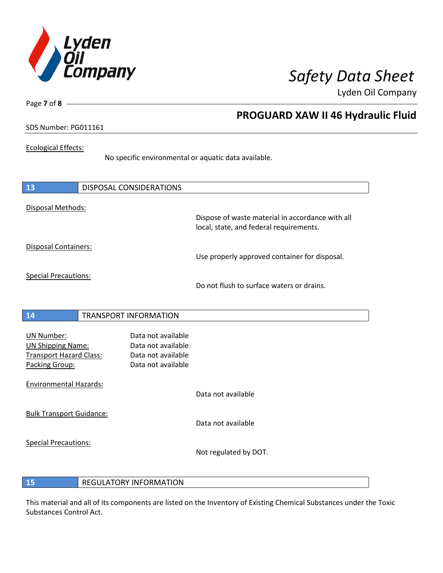

Page **7** of **8**

# **PROGUARD XAW II 46 Hydraulic Fluid**

### SDS Number: PG011161

### Ecological Effects:

No specific environmental or aquatic data available.

| 13                                                                                                | <b>DISPOSAL CONSIDERATIONS</b>                                                       |                                                                                             |
|---------------------------------------------------------------------------------------------------|--------------------------------------------------------------------------------------|---------------------------------------------------------------------------------------------|
| Disposal Methods:                                                                                 |                                                                                      | Dispose of waste material in accordance with all<br>local, state, and federal requirements. |
| Disposal Containers:                                                                              |                                                                                      | Use properly approved container for disposal.                                               |
| <b>Special Precautions:</b>                                                                       |                                                                                      | Do not flush to surface waters or drains.                                                   |
| 14                                                                                                | <b>TRANSPORT INFORMATION</b>                                                         |                                                                                             |
| <b>UN Number:</b><br><b>UN Shipping Name:</b><br><b>Transport Hazard Class:</b><br>Packing Group: | Data not available<br>Data not available<br>Data not available<br>Data not available |                                                                                             |
| <b>Environmental Hazards:</b>                                                                     |                                                                                      | Data not available                                                                          |
| <b>Bulk Transport Guidance:</b>                                                                   |                                                                                      | Data not available                                                                          |
| <b>Special Precautions:</b>                                                                       |                                                                                      | Not regulated by DOT.                                                                       |

### **15** REGULATORY INFORMATION

This material and all of its components are listed on the Inventory of Existing Chemical Substances under the Toxic Substances Control Act.